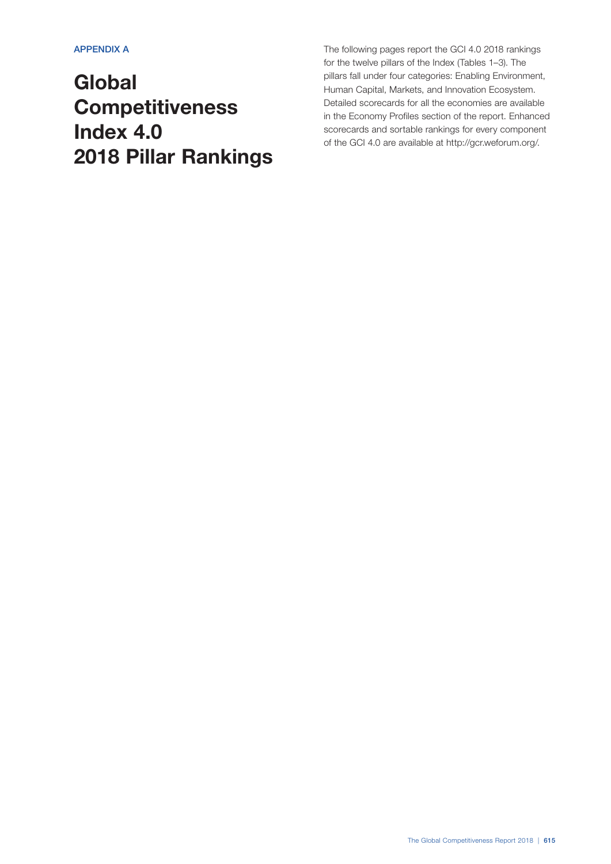# **Global Competitiveness** Index 4.0 2018 Pillar Rankings

The following pages report the GCI 4.0 2018 rankings for the twelve pillars of the Index (Tables 1–3). The pillars fall under four categories: Enabling Environment, Human Capital, Markets, and Innovation Ecosystem. Detailed scorecards for all the economies are available in the Economy Profiles section of the report. Enhanced scorecards and sortable rankings for every component of the GCI 4.0 are available at http://gcr.weforum.org/.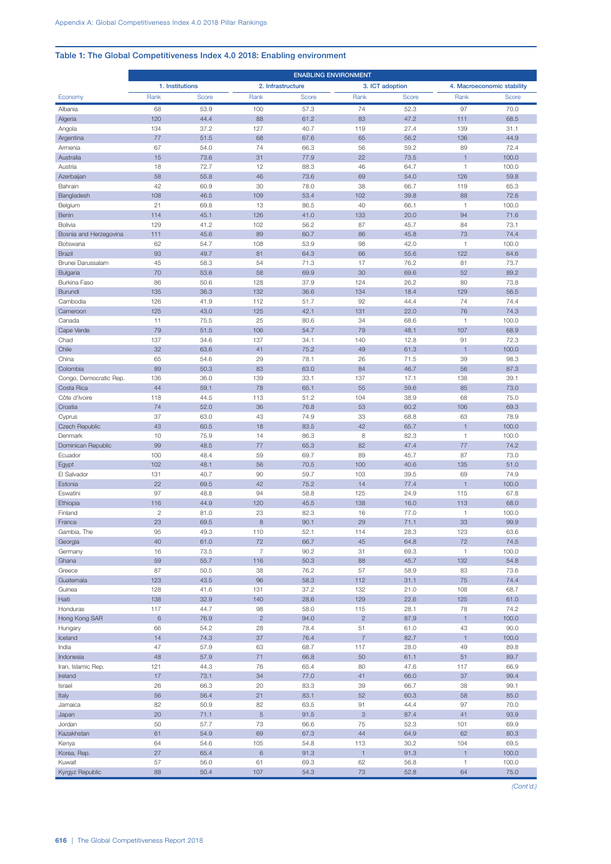## Table 1: The Global Competitiveness Index 4.0 2018: Enabling environment

|                           | <b>ENABLING ENVIRONMENT</b> |              |                   |              |                                 |                 |                                |                            |
|---------------------------|-----------------------------|--------------|-------------------|--------------|---------------------------------|-----------------|--------------------------------|----------------------------|
|                           | 1. Institutions             |              | 2. Infrastructure |              |                                 | 3. ICT adoption |                                | 4. Macroeconomic stability |
| Economy                   | Rank                        | Score        | Rank              | Score        | Rank                            | Score           | Rank                           | Score                      |
| Albania                   | 68                          | 53.9         | 100               | 57.3         | 74                              | 52.3            | 97                             | 70.0                       |
| Algeria                   | 120                         | 44.4         | 88                | 61.2         | 83                              | 47.2            | 111                            | 68.5                       |
| Angola                    | 134                         | 37.2         | 127<br>68         | 40.7         | 119                             | 27.4            | 139                            | 31.1                       |
| Argentina<br>Armenia      | 77<br>67                    | 51.5<br>54.0 | 74                | 67.6<br>66.3 | 65<br>56                        | 56.2<br>59.2    | 136<br>89                      | 44.9<br>72.4               |
| Australia                 | 15                          | 73.6         | 31                | 77.9         | 22                              | 73.5            | $\overline{1}$                 | 100.0                      |
| Austria                   | 18                          | 72.7         | 12                | 88.3         | 46                              | 64.7            | $\overline{1}$                 | 100.0                      |
| Azerbaijan                | 58                          | 55.8         | 46                | 73.6         | 69                              | 54.0            | 126                            | 59.8                       |
| Bahrain                   | 42                          | 60.9         | 30                | 78.0         | 38                              | 66.7            | 119                            | 65.3                       |
| Bangladesh                | 108                         | 46.5         | 109               | 53.4         | 102                             | 39.8            | 88                             | 72.6                       |
| Belgium<br>Benin          | 21<br>114                   | 69.8<br>45.1 | 13<br>126         | 86.5<br>41.0 | 40<br>133                       | 66.1<br>20.0    | $\overline{1}$<br>94           | 100.0<br>71.6              |
| Bolivia                   | 129                         | 41.2         | 102               | 56.2         | 87                              | 45.7            | 84                             | 73.1                       |
| Bosnia and Herzegovina    | 111                         | 45.6         | 89                | 60.7         | 86                              | 45.8            | 73                             | 74.4                       |
| Botswana                  | 62                          | 54.7         | 108               | 53.9         | 98                              | 42.0            | $\overline{1}$                 | 100.0                      |
| <b>Brazil</b>             | 93                          | 49.7         | 81                | 64.3         | 66                              | 55.6            | 122                            | 64.6                       |
| Brunei Darussalam         | 45                          | 58.3         | 54                | 71.3         | 17                              | 76.2            | 81                             | 73.7                       |
| <b>Bulgaria</b>           | 70                          | 53.6         | 58                | 69.9         | 30                              | 69.6            | 52                             | 89.2                       |
| Burkina Faso<br>Burundi   | 86<br>135                   | 50.6<br>36.3 | 128<br>132        | 37.9<br>36.6 | 124<br>134                      | 26.2<br>18.4    | 80<br>129                      | 73.8<br>56.5               |
| Cambodia                  | 126                         | 41.9         | 112               | 51.7         | 92                              | 44.4            | 74                             | 74.4                       |
| Cameroon                  | 125                         | 43.0         | 125               | 42.1         | 131                             | 22.0            | 76                             | 74.3                       |
| Canada                    | 11                          | 75.5         | 25                | 80.6         | 34                              | 68.6            | $\overline{1}$                 | 100.0                      |
| Cape Verde                | 79                          | 51.5         | 106               | 54.7         | 79                              | 48.1            | 107                            | 68.9                       |
| Chad                      | 137                         | 34.6         | 137               | 34.1         | 140                             | 12.8            | 91                             | 72.3                       |
| Chile                     | 32                          | 63.6         | 41<br>29          | 75.2         | 49                              | 61.3            | $\overline{1}$                 | 100.0                      |
| China<br>Colombia         | 65<br>89                    | 54.6<br>50.3 | 83                | 78.1<br>63.0 | 26<br>84                        | 71.5<br>46.7    | 39<br>56                       | 98.3<br>87.3               |
| Congo, Democratic Rep.    | 136                         | 36.0         | 139               | 33.1         | 137                             | 17.1            | 138                            | 39.1                       |
| Costa Rica                | 44                          | 59.1         | 78                | 65.1         | 55                              | 59.6            | 85                             | 73.0                       |
| Côte d'Ivoire             | 118                         | 44.5         | 113               | 51.2         | 104                             | 38.9            | 68                             | 75.0                       |
| Croatia                   | 74                          | 52.0         | 36                | 76.8         | 53                              | 60.2            | 106                            | 69.3                       |
| Cyprus                    | 37                          | 63.0         | 43                | 74.9         | 33                              | 68.8            | 63                             | 78.9                       |
| Czech Republic<br>Denmark | 43<br>10                    | 60.5<br>75.9 | 18<br>14          | 83.5<br>86.3 | 42<br>8                         | 65.7<br>82.3    | $\mathbf{1}$<br>$\overline{1}$ | 100.0<br>100.0             |
| Dominican Republic        | 99                          | 48.5         | 77                | 65.3         | 82                              | 47.4            | 77                             | 74.2                       |
| Ecuador                   | 100                         | 48.4         | 59                | 69.7         | 89                              | 45.7            | 87                             | 73.0                       |
| Egypt                     | 102                         | 48.1         | 56                | 70.5         | 100                             | 40.6            | 135                            | 51.0                       |
| El Salvador               | 131                         | 40.7         | 90                | 59.7         | 103                             | 39.5            | 69                             | 74.9                       |
| Estonia                   | 22                          | 69.5         | 42                | 75.2         | 14                              | 77.4            | $\overline{1}$                 | 100.0                      |
| Eswatini                  | 97                          | 48.8         | 94                | 58.8         | 125                             | 24.9            | 115                            | 67.8                       |
| Ethiopia<br>Finland       | 116<br>$\overline{2}$       | 44.9<br>81.0 | 120<br>23         | 45.5<br>82.3 | 138<br>16                       | 16.0<br>77.0    | 113<br>$\overline{1}$          | 68.0<br>100.0              |
| France                    | 23                          | 69.5         | 8                 | 90.1         | 29                              | 71.1            | 33                             | 99.9                       |
| Gambia, The               | 95                          | 49.3         | 110               | 52.1         | 114                             | 28.3            | 123                            | 63.6                       |
| Georgia                   | 40                          | 61.0         | 72                | 66.7         | 45                              | 64.8            | 72                             | 74.5                       |
| Germany                   | 16                          | 73.5         | $\overline{7}$    | 90.2         | 31                              | 69.3            | $\mathbf{1}$                   | 100.0                      |
| Ghana                     | 59                          | 55.7         | 116               | 50.3         | 88                              | 45.7            | 132                            | 54.8                       |
| Greece<br>Guatemala       | 87<br>123                   | 50.5<br>43.5 | 38<br>96          | 76.2<br>58.3 | 57<br>112                       | 58.9<br>31.1    | 83<br>75                       | 73.6<br>74.4               |
| Guinea                    | 128                         | 41.6         | 131               | 37.2         | 132                             | 21.0            | 108                            | 68.7                       |
| Haiti                     | 138                         | 32.9         | 140               | 28.6         | 129                             | 22.6            | 125                            | 61.0                       |
| Honduras                  | 117                         | 44.7         | 98                | 58.0         | 115                             | 28.1            | 78                             | 74.2                       |
| Hong Kong SAR             | $\,$ 6                      | 76.9         | $\overline{c}$    | 94.0         | $\overline{c}$                  | 87.9            | $\overline{1}$                 | 100.0                      |
| Hungary                   | 66                          | 54.2         | 28                | 78.4         | 51                              | 61.0            | 43                             | 90.0                       |
| Iceland<br>India          | 14<br>47                    | 74.3<br>57.9 | 37<br>63          | 76.4<br>68.7 | $\overline{7}$<br>117           | 82.7<br>28.0    | $\overline{1}$<br>49           | 100.0<br>89.8              |
| Indonesia                 | 48                          | 57.9         | 71                | 66.8         | 50                              | 61.1            | 51                             | 89.7                       |
| Iran, Islamic Rep.        | 121                         | 44.3         | 76                | 65.4         | 80                              | 47.6            | 117                            | 66.9                       |
| Ireland                   | 17                          | 73.1         | 34                | 77.0         | 41                              | 66.0            | 37                             | 99.4                       |
| Israel                    | 26                          | 66.3         | 20                | 83.3         | 39                              | 66.7            | 38                             | 99.1                       |
| Italy                     | 56                          | 56.4         | 21                | 83.1         | 52                              | 60.3            | 58                             | 85.0                       |
| Jamaica                   | 82<br>20                    | 50.9<br>71.1 | 82<br>5           | 63.5<br>91.5 | 91<br>$\ensuremath{\mathsf{3}}$ | 44.4<br>87.4    | 97<br>41                       | 70.0<br>93.9               |
| Japan<br>Jordan           | 50                          | 57.7         | 73                | 66.6         | 75                              | 52.3            | 101                            | 69.9                       |
| Kazakhstan                | 61                          | 54.9         | 69                | 67.3         | 44                              | 64.9            | 62                             | 80.3                       |
| Kenya                     | 64                          | 54.6         | 105               | 54.8         | 113                             | 30.2            | 104                            | 69.5                       |
| Korea, Rep.               | 27                          | 65.4         | $\,$ 6 $\,$       | 91.3         | $\mathbf{1}$                    | 91.3            | $\mathbf{1}$                   | 100.0                      |
| Kuwait                    | 57                          | 56.0         | 61                | 69.3         | 62                              | 56.8            | $\mathbf{1}$                   | 100.0                      |
| Kyrgyz Republic           | 88                          | 50.4         | 107               | 54.3         | 73                              | 52.8            | 64                             | 75.0                       |

*(Cont'd.)*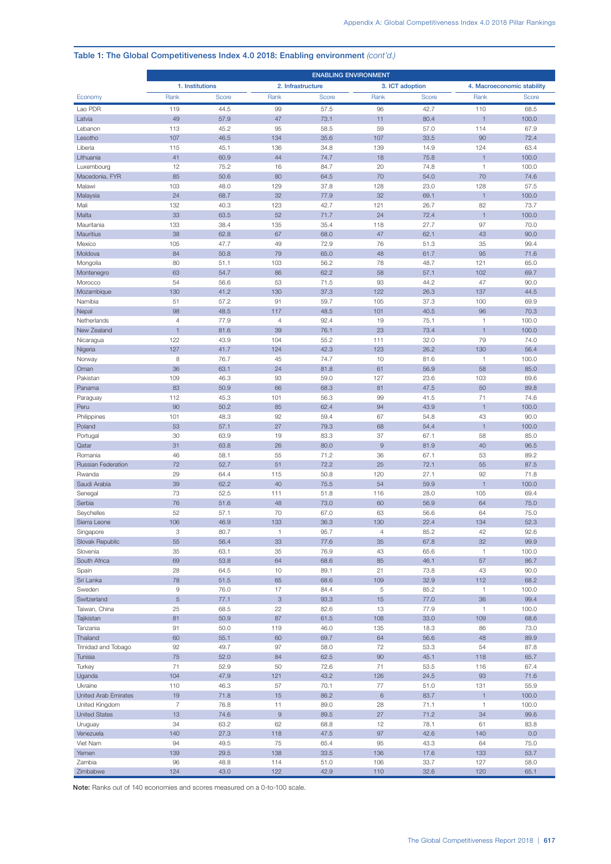#### ENABLING ENVIRONMENT 1. Institutions 2. Infrastructure 3. ICT adoption 4. Macroeconomic stability Economy Rank Score Rank Score Rank Score Rank Score Lao PDR 119 44.5 99 57.5 96 42.7 110 68.5 Latvia 49 57.9 47 73.1 11 80.4 1 100.0 Lebanon 113 45.2 95 58.5 59 57.0 114 67.9 Lesotho 107 46.5 134 35.6 107 33.5 90 72.4 Liberia 115 45.1 136 34.8 139 14.9 124 63.4 Lithuania 41 60.9 44 74.7 18 75.8 1 100.0 Luxembourg 12 75.2 16 84.7 20 74.8 1 100.0 Macedonia, FYR 85 50.6 80 64.5 70 54.0 70 74.6 Malawi 103 48.0 129 37.8 128 23.0 128 57.5 Malaysia 24 68.7 32 77.9 32 69.1 1 100.0 Mali 132 40.3 123 42.7 121 26.7 82 73.7 Malta 33 63.5 52 71.7 24 72.4 1 100.0 Mauritania 133 38.4 135 35.4 118 27.7 97 70.0 Mauritius 38 62.8 67 68.0 47 62.1 43 90.0 Mexico 105 47.7 49 72.9 76 51.3 35 99.4 Moldova 84 50.8 79 65.0 48 61.7 95 71.6 Mongolia 80 51.1 103 56.2 78 48.7 121 65.0 Montenegro 63 63 54.7 86 62.2 58 57.1 102 69.7 Morocco 54 56.6 53 71.5 93 44.2 47 90.0 Mozambique 130 41.2 130 37.3 122 26.3 137 44.5 Namibia 51 57.2 91 59.7 105 37.3 100 69.9 Nepal 98 48.5 117 48.5 101 40.5 96 70.3 Netherlands 4 77.9 4 92.4 19 75.1 1 100.0 New Zealand 1 81.6 39 76.1 23 73.4 1 100.0 Nicaragua 122 43.9 104 55.2 111 32.0 79 74.0 Nigeria 127 127 41.7 124 42.3 123 26.2 130 56.4 Norway 8 76.7 45 74.7 10 81.6 1 100.0 Oman 36 63.1 24 81.8 61 56.9 58 85.0 Pakistan 109 46.3 93 59.0 127 23.6 103 69.6 Panama 83 50.9 66 68.3 81 47.5 50 89.8 Paraguay 112 45.3 101 56.3 99 41.5 71 74.6 Peru 90 50.2 85 62.4 94 43.9 1 100.0 Philippines 101 48.3 92 59.4 67 54.8 43 90.0 Poland 53 53 57.1 27 79.3 68 54.4 1 100.0 Portugal 30 63.9 19 83.3 37 67.1 58 85.0 Qatar 31 63.8 26 80.0 9 81.9 40 96.5 Romania 46 58.1 55 71.2 36 67.1 53 89.2 Russian Federation 72 52.7 51 72.2 25 72.1 55 87.5 Rwanda 29 64.4 115 50.8 120 27.1 92 71.8 Saudi Arabia 39 39 32.2 40 75.5 54 59.9 1 100.0 Senegal 73 52.5 111 51.8 116 28.0 105 69.4 Serbia 76 51.6 48 73.0 60 56.9 64 75.0 Seychelles 52 57.1 70 67.0 63 56.6 64 75.0 Sierra Leone 106 106 106.9 133 36.3 130 22.4 134 52.3 Singapore 3 80.7 1 95.7 4 85.2 42 92.6 Slovak Republic 55 56.4 33 77.6 35 67.8 32 99.9 Slovenia 35 63.1 35 76.9 43 65.6 1 100.0 South Africa 69 69 53.8 64 68.6 85 46.1 57 86.7 Spain 28 64.5 10 89.1 21 73.8 43 90.0 Sri Lanka 78 51.5 65 68.6 109 32.9 112 68.2 Sweden 9 76.0 17 84.4 5 85.2 1 100.0 Switzerland 5 5 77.1 3 93.3 15 77.0 36 99.4 Taiwan, China 25 68.5 22 82.6 13 77.9 1 100.0 Tajikistan 81 50.9 87 61.5 108 33.0 109 68.6 Tanzania 91 50.0 119 46.0 135 18.3 86 73.0 Thailand 60 55.1 60 69.7 64 56.6 48 89.9 Trinidad and Tobago 92 49.7 97 58.0 72 53.3 54 87.8 Tunisia 75 52.0 84 62.5 90 45.1 118 65.7 Turkey 71 52.9 50 72.6 71 53.5 116 67.4 Uganda 104 47.9 121 43.2 126 24.5 93 71.6 Ukraine 110 46.3 57 70.1 77 51.0 131 55.9 United Arab Emirates 19 71.8 15 86.2 6 83.7 1 100.0 United Kingdom 7 76.8 11 89.0 28 71.1 1 100.0 United States 13 74.6 9 89.5 27 71.2 34 99.6 Uruguay 34 63.2 62 68.8 12 78.1 61 83.8 Venezuela 140 27.3 118 47.5 97 42.6 140 0.0 Viet Nam 94 49.5 75 65.4 95 43.3 64 75.0 Yemen 139 29.5 138 33.5 136 17.6 133 53.7

Zambia 96 48.8 114 51.0 106 33.7 127 58.0 Zimbabwe 124 43.0 122 42.9 110 32.6 120 65.1

#### Table 1: The Global Competitiveness Index 4.0 2018: Enabling environment *(cont'd.)*

Note: Ranks out of 140 economies and scores measured on a 0-to-100 scale.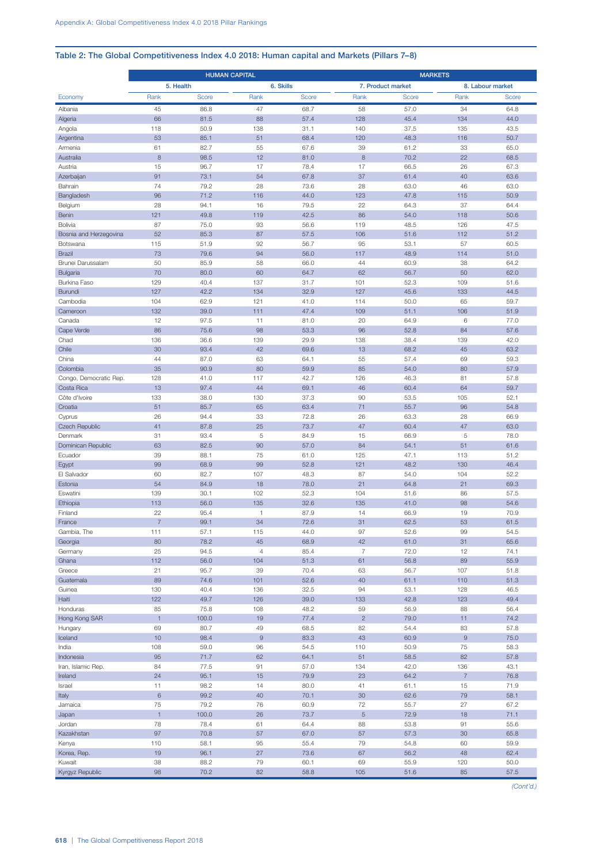## Table 2: The Global Competitiveness Index 4.0 2018: Human capital and Markets (Pillars 7–8)

|                           | <b>HUMAN CAPITAL</b> |               |                  |              | <b>MARKETS</b>   |                   |                  |                  |  |
|---------------------------|----------------------|---------------|------------------|--------------|------------------|-------------------|------------------|------------------|--|
|                           | 5. Health            |               | 6. Skills        |              |                  | 7. Product market |                  | 8. Labour market |  |
| Economy                   | Rank                 | Score         | Rank             | Score        | Rank             | Score             | Rank             | Score            |  |
| Albania                   | 45                   | 86.8          | 47               | 68.7         | 58               | 57.0              | 34               | 64.8             |  |
| Algeria                   | 66                   | 81.5          | 88               | 57.4         | 128              | 45.4              | 134              | 44.0             |  |
| Angola<br>Argentina       | 118<br>53            | 50.9<br>85.1  | 138<br>51        | 31.1<br>68.4 | 140<br>120       | 37.5<br>48.3      | 135<br>116       | 43.5<br>50.7     |  |
| Armenia                   | 61                   | 82.7          | 55               | 67.6         | 39               | 61.2              | 33               | 65.0             |  |
| Australia                 | 8                    | 98.5          | 12               | 81.0         | 8                | 70.2              | 22               | 68.5             |  |
| Austria                   | 15                   | 96.7          | 17               | 78.4         | 17               | 66.5              | 26               | 67.3             |  |
| Azerbaijan                | 91                   | 73.1          | 54               | 67.8         | 37               | 61.4              | 40               | 63.6             |  |
| Bahrain                   | 74                   | 79.2          | 28               | 73.6         | 28               | 63.0              | 46               | 63.0             |  |
| Bangladesh                | 96<br>28             | 71.2<br>94.1  | 116<br>16        | 44.0<br>79.5 | 123<br>22        | 47.8<br>64.3      | 115<br>37        | 50.9<br>64.4     |  |
| Belgium<br>Benin          | 121                  | 49.8          | 119              | 42.5         | 86               | 54.0              | 118              | 50.6             |  |
| Bolivia                   | 87                   | 75.0          | 93               | 56.6         | 119              | 48.5              | 126              | 47.5             |  |
| Bosnia and Herzegovina    | 52                   | 85.3          | 87               | 57.5         | 106              | 51.6              | 112              | 51.2             |  |
| Botswana                  | 115                  | 51.9          | 92               | 56.7         | 95               | 53.1              | 57               | 60.5             |  |
| <b>Brazil</b>             | 73                   | 79.6          | 94               | 56.0         | 117              | 48.9              | 114              | 51.0             |  |
| Brunei Darussalam         | 50                   | 85.9          | 58               | 66.0         | 44               | 60.9              | 38               | 64.2             |  |
| Bulgaria<br>Burkina Faso  | 70<br>129            | 80.0<br>40.4  | 60<br>137        | 64.7<br>31.7 | 62<br>101        | 56.7<br>52.3      | 50<br>109        | 62.0<br>51.6     |  |
| Burundi                   | 127                  | 42.2          | 134              | 32.9         | 127              | 45.6              | 133              | 44.5             |  |
| Cambodia                  | 104                  | 62.9          | 121              | 41.0         | 114              | 50.0              | 65               | 59.7             |  |
| Cameroon                  | 132                  | 39.0          | 111              | 47.4         | 109              | 51.1              | 106              | 51.9             |  |
| Canada                    | 12                   | 97.5          | 11               | 81.0         | 20               | 64.9              | 6                | 77.0             |  |
| Cape Verde                | 86                   | 75.6          | 98               | 53.3         | 96               | 52.8              | 84               | 57.6             |  |
| Chad                      | 136                  | 36.6          | 139              | 29.9         | 138              | 38.4              | 139              | 42.0             |  |
| Chile<br>China            | 30<br>44             | 93.4<br>87.0  | 42<br>63         | 69.6<br>64.1 | 13<br>55         | 68.2<br>57.4      | 45<br>69         | 63.2<br>59.3     |  |
| Colombia                  | 35                   | 90.9          | 80               | 59.9         | 85               | 54.0              | 80               | 57.9             |  |
| Congo, Democratic Rep.    | 128                  | 41.0          | 117              | 42.7         | 126              | 46.3              | 81               | 57.8             |  |
| Costa Rica                | 13                   | 97.4          | 44               | 69.1         | 46               | 60.4              | 64               | 59.7             |  |
| Côte d'Ivoire             | 133                  | 38.0          | 130              | 37.3         | 90               | 53.5              | 105              | 52.1             |  |
| Croatia                   | 51                   | 85.7          | 65               | 63.4         | 71               | 55.7              | 96               | 54.8             |  |
| Cyprus                    | 26<br>41             | 94.4<br>87.8  | 33<br>25         | 72.8<br>73.7 | 26<br>47         | 63.3<br>60.4      | 28<br>47         | 66.9<br>63.0     |  |
| Czech Republic<br>Denmark | 31                   | 93.4          | 5                | 84.9         | 15               | 66.9              | 5                | 78.0             |  |
| Dominican Republic        | 63                   | 82.5          | 90               | 57.0         | 84               | 54.1              | 51               | 61.6             |  |
| Ecuador                   | 39                   | 88.1          | 75               | 61.0         | 125              | 47.1              | 113              | 51.2             |  |
| Egypt                     | 99                   | 68.9          | 99               | 52.8         | 121              | 48.2              | 130              | 46.4             |  |
| El Salvador               | 60                   | 82.7          | 107              | 48.3         | 87               | 54.0              | 104              | 52.2             |  |
| Estonia                   | 54                   | 84.9          | 18               | 78.0         | 21               | 64.8              | 21               | 69.3             |  |
| Eswatini<br>Ethiopia      | 139<br>113           | 30.1<br>56.0  | 102<br>135       | 52.3<br>32.6 | 104<br>135       | 51.6<br>41.0      | 86<br>98         | 57.5<br>54.6     |  |
| Finland                   | 22                   | 95.4          | 1                | 87.9         | 14               | 66.9              | 19               | 70.9             |  |
| France                    | $\overline{7}$       | 99.1          | 34               | 72.6         | 31               | 62.5              | 53               | 61.5             |  |
| Gambia, The               | 111                  | 57.1          | 115              | 44.0         | 97               | 52.6              | 99               | 54.5             |  |
| Georgia                   | 80                   | 78.2          | 45               | 68.9         | 42               | 61.0              | 31               | 65.6             |  |
| Germany                   | 25                   | 94.5          | $\overline{4}$   | 85.4         | $\overline{7}$   | 72.0              | 12               | 74.1             |  |
| Ghana<br>Greece           | 112<br>21            | 56.0<br>95.7  | 104<br>39        | 51.3<br>70.4 | 61<br>63         | 56.8<br>56.7      | 89<br>107        | 55.9<br>51.8     |  |
| Guatemala                 | 89                   | 74.6          | 101              | 52.6         | 40               | 61.1              | 110              | 51.3             |  |
| Guinea                    | 130                  | 40.4          | 136              | 32.5         | 94               | 53.1              | 128              | 46.5             |  |
| Haiti                     | 122                  | 49.7          | 126              | 39.0         | 133              | 42.8              | 123              | 49.4             |  |
| Honduras                  | 85                   | 75.8          | 108              | 48.2         | 59               | 56.9              | 88               | 56.4             |  |
| Hong Kong SAR             | $\mathbf{1}$         | 100.0         | 19               | 77.4         | $\overline{c}$   | 79.0              | 11               | 74.2             |  |
| Hungary<br>Iceland        | 69<br>10             | 80.7<br>98.4  | 49<br>$\hbox{9}$ | 68.5<br>83.3 | 82<br>43         | 54.4<br>60.9      | 83<br>$\hbox{9}$ | 57.8<br>75.0     |  |
| India                     | 108                  | 59.0          | 96               | 54.5         | 110              | 50.9              | 75               | 58.3             |  |
| Indonesia                 | 95                   | 71.7          | 62               | 64.1         | 51               | 58.5              | 82               | 57.8             |  |
| Iran, Islamic Rep.        | 84                   | 77.5          | 91               | 57.0         | 134              | 42.0              | 136              | 43.1             |  |
| Ireland                   | 24                   | 95.1          | 15               | 79.9         | 23               | 64.2              | $\overline{7}$   | 76.8             |  |
| Israel                    | 11                   | 98.2          | 14               | 80.0         | 41               | 61.1              | 15               | 71.9             |  |
| Italy                     | $\,6\,$              | 99.2          | 40               | 70.1         | 30               | 62.6              | $79\,$           | 58.1             |  |
| Jamaica<br>Japan          | 75<br>$\mathbf{1}$   | 79.2<br>100.0 | 76<br>26         | 60.9<br>73.7 | 72<br>$\sqrt{5}$ | 55.7<br>72.9      | 27<br>18         | 67.2<br>71.1     |  |
| Jordan                    | 78                   | 78.4          | 61               | 64.4         | 88               | 53.8              | 91               | 55.6             |  |
| Kazakhstan                | 97                   | 70.8          | 57               | 67.0         | 57               | 57.3              | 30               | 65.8             |  |
| Kenya                     | 110                  | 58.1          | 95               | 55.4         | 79               | 54.8              | 60               | 59.9             |  |
| Korea, Rep.               | 19                   | 96.1          | 27               | 73.6         | 67               | 56.2              | 48               | 62.4             |  |
| Kuwait                    | 38                   | 88.2          | 79               | 60.1         | 69               | 55.9              | 120              | 50.0             |  |
| Kyrgyz Republic           | 98                   | 70.2          | 82               | 58.8         | 105              | 51.6              | 85               | 57.5             |  |

*(Cont'd.)*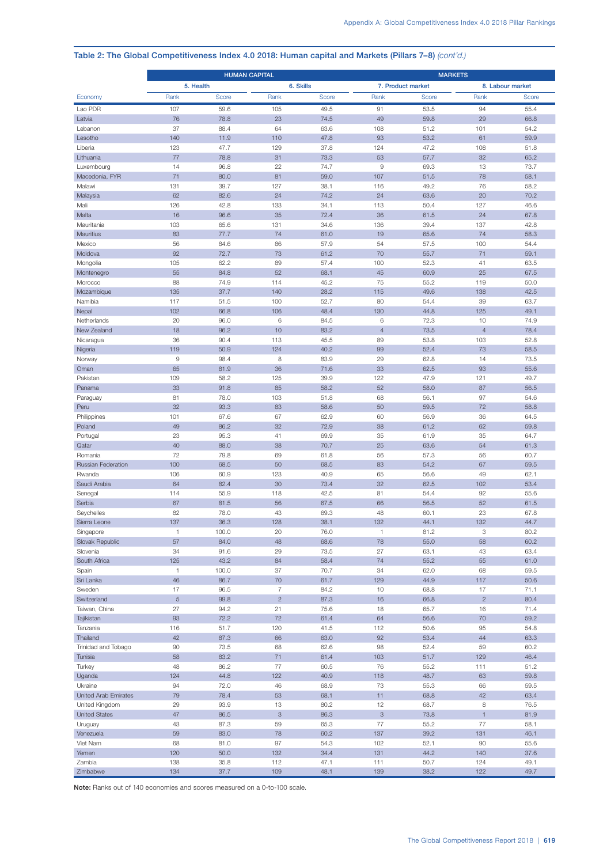|                                        | <b>HUMAN CAPITAL</b> |              |                |              | <b>MARKETS</b>                  |                   |                   |                  |
|----------------------------------------|----------------------|--------------|----------------|--------------|---------------------------------|-------------------|-------------------|------------------|
|                                        | 5. Health            |              |                | 6. Skills    |                                 | 7. Product market |                   | 8. Labour market |
| Economy                                | Rank                 | <b>Score</b> | Rank           | <b>Score</b> | Rank                            | Score             | Rank              | Score            |
| Lao PDR                                | 107                  | 59.6         | 105            | 49.5         | 91                              | 53.5              | 94                | 55.4             |
| Latvia                                 | 76                   | 78.8         | 23             | 74.5         | 49                              | 59.8              | 29                | 66.8             |
| Lebanon                                | 37                   | 88.4         | 64             | 63.6         | 108                             | 51.2              | 101               | 54.2             |
| Lesotho                                | 140                  | 11.9         | 110            | 47.8         | 93                              | 53.2              | 61                | 59.9             |
| Liberia<br>Lithuania                   | 123<br>77            | 47.7<br>78.8 | 129<br>31      | 37.8<br>73.3 | 124<br>53                       | 47.2<br>57.7      | 108<br>32         | 51.8<br>65.2     |
| Luxembourg                             | 14                   | 96.8         | 22             | 74.7         | $\mathrel{\mathsf{g}}$          | 69.3              | 13                | 73.7             |
| Macedonia, FYR                         | 71                   | 80.0         | 81             | 59.0         | 107                             | 51.5              | 78                | 58.1             |
| Malawi                                 | 131                  | 39.7         | 127            | 38.1         | 116                             | 49.2              | 76                | 58.2             |
| Malaysia                               | 62                   | 82.6         | 24             | 74.2         | 24                              | 63.6              | 20                | 70.2             |
| Mali                                   | 126                  | 42.8         | 133            | 34.1         | 113                             | 50.4              | 127               | 46.6             |
| Malta                                  | 16                   | 96.6         | 35             | 72.4         | 36                              | 61.5              | 24                | 67.8             |
| Mauritania<br>Mauritius                | 103<br>83            | 65.6<br>77.7 | 131<br>74      | 34.6<br>61.0 | 136<br>19                       | 39.4<br>65.6      | 137<br>74         | 42.8<br>58.3     |
| Mexico                                 | 56                   | 84.6         | 86             | 57.9         | 54                              | 57.5              | 100               | 54.4             |
| Moldova                                | 92                   | 72.7         | 73             | 61.2         | 70                              | 55.7              | 71                | 59.1             |
| Mongolia                               | 105                  | 62.2         | 89             | 57.4         | 100                             | 52.3              | 41                | 63.5             |
| Montenegro                             | 55                   | 84.8         | 52             | 68.1         | 45                              | 60.9              | 25                | 67.5             |
| Morocco                                | 88                   | 74.9         | 114            | 45.2         | 75                              | 55.2              | 119               | 50.0             |
| Mozambique                             | 135                  | 37.7         | 140            | 28.2         | 115                             | 49.6              | 138               | 42.5             |
| Namibia                                | 117                  | 51.5         | 100            | 52.7         | 80                              | 54.4              | 39                | 63.7             |
| Nepal<br>Netherlands                   | 102<br>20            | 66.8<br>96.0 | 106<br>6       | 48.4<br>84.5 | 130<br>6                        | 44.8<br>72.3      | 125<br>10         | 49.1<br>74.9     |
| New Zealand                            | 18                   | 96.2         | 10             | 83.2         | $\overline{4}$                  | 73.5              | $\overline{4}$    | 78.4             |
| Nicaragua                              | 36                   | 90.4         | 113            | 45.5         | 89                              | 53.8              | 103               | 52.8             |
| Nigeria                                | 119                  | 50.9         | 124            | 40.2         | 99                              | 52.4              | 73                | 58.5             |
| Norway                                 | 9                    | 98.4         | 8              | 83.9         | 29                              | 62.8              | 14                | 73.5             |
| Oman                                   | 65                   | 81.9         | 36             | 71.6         | 33                              | 62.5              | 93                | 55.6             |
| Pakistan                               | 109                  | 58.2         | 125            | 39.9         | 122                             | 47.9              | 121               | 49.7             |
| Panama                                 | 33                   | 91.8         | 85             | 58.2         | 52                              | 58.0              | 87                | 56.5             |
| Paraguay<br>Peru                       | 81<br>32             | 78.0<br>93.3 | 103<br>83      | 51.8<br>58.6 | 68<br>50                        | 56.1<br>59.5      | 97<br>72          | 54.6<br>58.8     |
| Philippines                            | 101                  | 67.6         | 67             | 62.9         | 60                              | 56.9              | 36                | 64.5             |
| Poland                                 | 49                   | 86.2         | 32             | 72.9         | 38                              | 61.2              | 62                | 59.8             |
| Portugal                               | 23                   | 95.3         | 41             | 69.9         | 35                              | 61.9              | 35                | 64.7             |
| Qatar                                  | 40                   | 88.0         | 38             | 70.7         | 25                              | 63.6              | 54                | 61.3             |
| Romania                                | 72                   | 79.8         | 69             | 61.8         | 56                              | 57.3              | 56                | 60.7             |
| <b>Russian Federation</b>              | 100                  | 68.5<br>60.9 | 50<br>123      | 68.5<br>40.9 | 83<br>65                        | 54.2              | 67<br>49          | 59.5             |
| Rwanda<br>Saudi Arabia                 | 106<br>64            | 82.4         | 30             | 73.4         | 32                              | 56.6<br>62.5      | 102               | 62.1<br>53.4     |
| Senegal                                | 114                  | 55.9         | 118            | 42.5         | 81                              | 54.4              | 92                | 55.6             |
| Serbia                                 | 67                   | 81.5         | 56             | 67.5         | 66                              | 56.5              | 52                | 61.5             |
| Seychelles                             | 82                   | 78.0         | 43             | 69.3         | 48                              | 60.1              | 23                | 67.8             |
| Sierra Leone                           | 137                  | 36.3         | 128            | 38.1         | 132                             | 44.1              | 132               | 44.7             |
| Singapore                              | 1                    | 100.0        | 20             | 76.0         | $\mathbf{1}$                    | 81.2              | 3                 | 80.2             |
| Slovak Republic                        | 57                   | 84.0         | 48             | 68.6         | 78                              | 55.0              | 58                | 60.2             |
| Slovenia<br>South Africa               | 34<br>125            | 91.6<br>43.2 | 29<br>84       | 73.5<br>58.4 | 27<br>$74$                      | 63.1<br>55.2      | 43<br>55          | 63.4<br>61.0     |
| Spain                                  | $\mathbf{1}$         | 100.0        | 37             | 70.7         | 34                              | 62.0              | 68                | 59.5             |
| Sri Lanka                              | 46                   | 86.7         | 70             | 61.7         | 129                             | 44.9              | 117               | 50.6             |
| Sweden                                 | 17                   | 96.5         | $\overline{7}$ | 84.2         | 10                              | 68.8              | 17                | 71.1             |
| Switzerland                            | $\overline{5}$       | 99.8         | $\sqrt{2}$     | 87.3         | 16                              | 66.8              | $\overline{c}$    | 80.4             |
| Taiwan, China                          | 27                   | 94.2         | 21             | 75.6         | 18                              | 65.7              | 16                | 71.4             |
| Tajikistan                             | 93                   | 72.2         | 72             | 61.4         | 64                              | 56.6              | 70                | 59.2             |
| Tanzania<br>Thailand                   | 116<br>42            | 51.7<br>87.3 | 120<br>66      | 41.5<br>63.0 | 112<br>92                       | 50.6<br>53.4      | 95<br>44          | 54.8<br>63.3     |
| Trinidad and Tobago                    | 90                   | 73.5         | 68             | 62.6         | 98                              | 52.4              | 59                | 60.2             |
| Tunisia                                | 58                   | 83.2         | 71             | 61.4         | 103                             | 51.7              | 129               | 46.4             |
| Turkey                                 | 48                   | 86.2         | $77 \,$        | 60.5         | 76                              | 55.2              | 111               | 51.2             |
| Uganda                                 | 124                  | 44.8         | 122            | 40.9         | 118                             | 48.7              | 63                | 59.8             |
| Ukraine                                | 94                   | 72.0         | 46             | 68.9         | 73                              | 55.3              | 66                | 59.5             |
| United Arab Emirates                   | 79                   | 78.4         | 53             | 68.1         | 11                              | 68.8              | 42                | 63.4             |
| United Kingdom<br><b>United States</b> | 29<br>47             | 93.9<br>86.5 | 13<br>3        | 80.2<br>86.3 | 12<br>$\ensuremath{\mathsf{3}}$ | 68.7<br>73.8      | 8<br>$\mathbf{1}$ | 76.5<br>81.9     |
| Uruguay                                | 43                   | 87.3         | 59             | 65.3         | $77 \,$                         | 55.2              | 77                | 58.1             |
| Venezuela                              | 59                   | 83.0         | 78             | 60.2         | 137                             | 39.2              | 131               | 46.1             |
| Viet Nam                               | 68                   | 81.0         | 97             | 54.3         | 102                             | 52.1              | 90                | 55.6             |
| Yemen                                  | 120                  | 50.0         | 132            | 34.4         | 131                             | 44.2              | 140               | 37.6             |
| Zambia                                 | 138                  | 35.8         | 112            | 47.1         | 111                             | 50.7              | 124               | 49.1             |
| Zimbabwe                               | 134                  | 37.7         | 109            | 48.1         | 139                             | 38.2              | 122               | 49.7             |

## Table 2: The Global Competitiveness Index 4.0 2018: Human capital and Markets (Pillars 7–8) *(cont'd.)*

Note: Ranks out of 140 economies and scores measured on a 0-to-100 scale.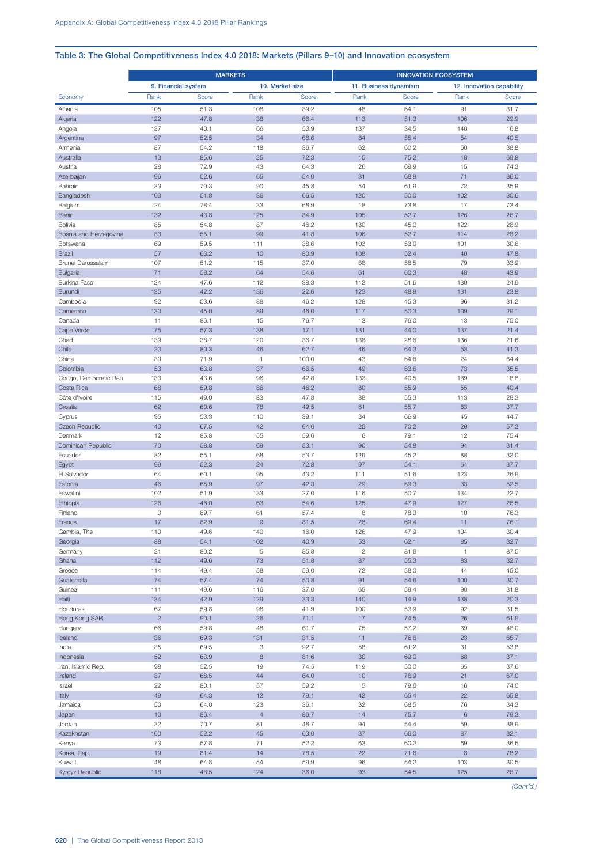## Table 3: The Global Competitiveness Index 4.0 2018: Markets (Pillars 9–10) and Innovation ecosystem

|                           | <b>MARKETS</b>      |              |                 |              | <b>INNOVATION ECOSYSTEM</b> |                       |                           |              |  |
|---------------------------|---------------------|--------------|-----------------|--------------|-----------------------------|-----------------------|---------------------------|--------------|--|
|                           | 9. Financial system |              | 10. Market size |              |                             | 11. Business dynamism | 12. Innovation capability |              |  |
| Economy                   | Rank                | Score        | Rank            | Score        | Rank                        | Score                 | Rank                      | Score        |  |
| Albania                   | 105                 | 51.3         | 108             | 39.2         | 48                          | 64.1                  | 91                        | 31.7         |  |
| Algeria                   | 122                 | 47.8         | 38              | 66.4         | 113                         | 51.3                  | 106                       | 29.9         |  |
| Angola                    | 137                 | 40.1         | 66              | 53.9         | 137                         | 34.5                  | 140                       | 16.8         |  |
| Argentina                 | 97                  | 52.5         | 34              | 68.6         | 84                          | 55.4                  | 54                        | 40.5         |  |
| Armenia                   | 87                  | 54.2         | 118             | 36.7         | 62                          | 60.2                  | 60                        | 38.8         |  |
| Australia                 | 13                  | 85.6         | 25              | 72.3         | 15                          | 75.2                  | 18                        | 69.8         |  |
| Austria                   | 28                  | 72.9         | 43              | 64.3         | 26                          | 69.9                  | 15                        | 74.3         |  |
| Azerbaijan<br>Bahrain     | 96<br>33            | 52.6<br>70.3 | 65<br>90        | 54.0<br>45.8 | 31<br>54                    | 68.8<br>61.9          | 71<br>72                  | 36.0<br>35.9 |  |
| Bangladesh                | 103                 | 51.8         | 36              | 66.5         | 120                         | 50.0                  | 102                       | 30.6         |  |
| Belgium                   | 24                  | 78.4         | 33              | 68.9         | 18                          | 73.8                  | 17                        | 73.4         |  |
| Benin                     | 132                 | 43.8         | 125             | 34.9         | 105                         | 52.7                  | 126                       | 26.7         |  |
| Bolivia                   | 85                  | 54.8         | 87              | 46.2         | 130                         | 45.0                  | 122                       | 26.9         |  |
| Bosnia and Herzegovina    | 83                  | 55.1         | 99              | 41.8         | 106                         | 52.7                  | 114                       | 28.2         |  |
| Botswana                  | 69                  | 59.5         | 111             | 38.6         | 103                         | 53.0                  | 101                       | 30.6         |  |
| <b>Brazil</b>             | 57                  | 63.2         | 10              | 80.9         | 108                         | 52.4                  | 40                        | 47.8         |  |
| Brunei Darussalam         | 107                 | 51.2         | 115             | 37.0         | 68                          | 58.5                  | 79                        | 33.9         |  |
| Bulgaria                  | 71                  | 58.2         | 64              | 54.6         | 61                          | 60.3                  | 48                        | 43.9         |  |
| Burkina Faso              | 124                 | 47.6         | 112             | 38.3         | 112                         | 51.6                  | 130                       | 24.9         |  |
| Burundi<br>Cambodia       | 135<br>92           | 42.2<br>53.6 | 136<br>88       | 22.6<br>46.2 | 123<br>128                  | 48.8<br>45.3          | 131<br>96                 | 23.8<br>31.2 |  |
| Cameroon                  | 130                 | 45.0         | 89              | 46.0         | 117                         | 50.3                  | 109                       | 29.1         |  |
| Canada                    | 11                  | 86.1         | 15              | 76.7         | 13                          | 76.0                  | 13                        | 75.0         |  |
| Cape Verde                | 75                  | 57.3         | 138             | 17.1         | 131                         | 44.0                  | 137                       | 21.4         |  |
| Chad                      | 139                 | 38.7         | 120             | 36.7         | 138                         | 28.6                  | 136                       | 21.6         |  |
| Chile                     | 20                  | 80.3         | 46              | 62.7         | 46                          | 64.3                  | 53                        | 41.3         |  |
| China                     | 30                  | 71.9         | $\mathbf{1}$    | 100.0        | 43                          | 64.6                  | 24                        | 64.4         |  |
| Colombia                  | 53                  | 63.8         | 37              | 66.5         | 49                          | 63.6                  | 73                        | 35.5         |  |
| Congo, Democratic Rep.    | 133                 | 43.6         | 96              | 42.8         | 133                         | 40.5                  | 139                       | 18.8         |  |
| Costa Rica                | 68                  | 59.8         | 86              | 46.2         | 80                          | 55.9                  | 55                        | 40.4         |  |
| Côte d'Ivoire             | 115<br>62           | 49.0<br>60.6 | 83<br>78        | 47.8<br>49.5 | 88<br>81                    | 55.3                  | 113<br>63                 | 28.3         |  |
| Croatia<br>Cyprus         | 95                  | 53.3         | 110             | 39.1         | 34                          | 55.7<br>66.9          | 45                        | 37.7<br>44.7 |  |
| Czech Republic            | 40                  | 67.5         | 42              | 64.6         | 25                          | 70.2                  | 29                        | 57.3         |  |
| Denmark                   | 12                  | 85.8         | 55              | 59.6         | 6                           | 79.1                  | 12                        | 75.4         |  |
| Dominican Republic        | 70                  | 58.8         | 69              | 53.1         | 90                          | 54.8                  | 94                        | 31.4         |  |
| Ecuador                   | 82                  | 55.1         | 68              | 53.7         | 129                         | 45.2                  | 88                        | 32.0         |  |
| Egypt                     | 99                  | 52.3         | 24              | 72.8         | 97                          | 54.1                  | 64                        | 37.7         |  |
| El Salvador               | 64                  | 60.1         | 95              | 43.2         | 111                         | 51.6                  | 123                       | 26.9         |  |
| Estonia                   | 46                  | 65.9         | 97              | 42.3         | 29                          | 69.3                  | 33                        | 52.5         |  |
| Eswatini                  | 102                 | 51.9         | 133             | 27.0         | 116                         | 50.7                  | 134                       | 22.7         |  |
| Ethiopia<br>Finland       | 126<br>3            | 46.0<br>89.7 | 63<br>61        | 54.6<br>57.4 | 125<br>8                    | 47.9<br>78.3          | 127<br>10                 | 26.5<br>76.3 |  |
| France                    | 17                  | 82.9         | 9               | 81.5         | 28                          | 69.4                  | 11                        | 76.1         |  |
| Gambia, The               | 110                 | 49.6         | 140             | 16.0         | 126                         | 47.9                  | 104                       | 30.4         |  |
| Georgia                   | 88                  | 54.1         | 102             | 40.9         | 53                          | 62.1                  | 85                        | 32.7         |  |
| Germany                   | 21                  | 80.2         | $\,$ 5 $\,$     | 85.8         | $\sqrt{2}$                  | 81.6                  | $\mathbf{1}$              | 87.5         |  |
| Ghana                     | 112                 | 49.6         | 73              | 51.8         | 87                          | 55.3                  | 83                        | 32.7         |  |
| Greece                    | 114                 | 49.4         | 58              | 59.0         | $72\,$                      | 58.0                  | 44                        | 45.0         |  |
| Guatemala                 | 74                  | 57.4         | 74              | 50.8         | 91                          | 54.6                  | 100                       | 30.7         |  |
| Guinea                    | 111                 | 49.6         | 116             | 37.0         | 65                          | 59.4                  | 90                        | 31.8         |  |
| Haiti                     | 134                 | 42.9         | 129             | 33.3         | 140                         | 14.9                  | 138                       | 20.3         |  |
| Honduras<br>Hong Kong SAR | 67<br>$\sqrt{2}$    | 59.8<br>90.1 | 98<br>26        | 41.9<br>71.1 | 100<br>17                   | 53.9<br>74.5          | 92<br>26                  | 31.5<br>61.9 |  |
| Hungary                   | 66                  | 59.8         | 48              | 61.7         | 75                          | 57.2                  | 39                        | 48.0         |  |
| Iceland                   | 36                  | 69.3         | 131             | 31.5         | 11                          | 76.6                  | 23                        | 65.7         |  |
| India                     | 35                  | 69.5         | 3               | 92.7         | 58                          | 61.2                  | 31                        | 53.8         |  |
| Indonesia                 | 52                  | 63.9         | $\,8\,$         | 81.6         | 30                          | 69.0                  | 68                        | 37.1         |  |
| Iran, Islamic Rep.        | 98                  | 52.5         | 19              | 74.5         | 119                         | 50.0                  | 65                        | 37.6         |  |
| Ireland                   | 37                  | 68.5         | 44              | 64.0         | 10                          | 76.9                  | 21                        | 67.0         |  |
| Israel                    | 22                  | 80.1         | 57              | 59.2         | 5                           | 79.6                  | 16                        | 74.0         |  |
| Italy                     | 49                  | 64.3         | 12              | 79.1         | 42                          | 65.4                  | 22                        | 65.8         |  |
| Jamaica                   | 50                  | 64.0         | 123             | 36.1         | 32                          | 68.5                  | 76                        | 34.3         |  |
| Japan                     | 10                  | 86.4         | $\overline{4}$  | 86.7         | 14                          | 75.7                  | $\,6\,$                   | 79.3         |  |
| Jordan                    | 32                  | 70.7         | 81              | 48.7         | 94                          | 54.4                  | 59                        | 38.9         |  |
| Kazakhstan                | 100<br>73           | 52.2<br>57.8 | 45<br>71        | 63.0<br>52.2 | 37<br>63                    | 66.0<br>60.2          | 87<br>69                  | 32.1<br>36.5 |  |
| Kenya<br>Korea, Rep.      | 19                  | 81.4         | 14              | 78.5         | 22                          | 71.6                  | $\mathbf{8}$              | 78.2         |  |
| Kuwait                    | 48                  | 64.8         | 54              | 59.9         | 96                          | 54.2                  | 103                       | 30.5         |  |
| Kyrgyz Republic           | 118                 | 48.5         | 124             | 36.0         | 93                          | 54.5                  | 125                       | 26.7         |  |
|                           |                     |              |                 |              |                             |                       |                           |              |  |

*(Cont'd.)*